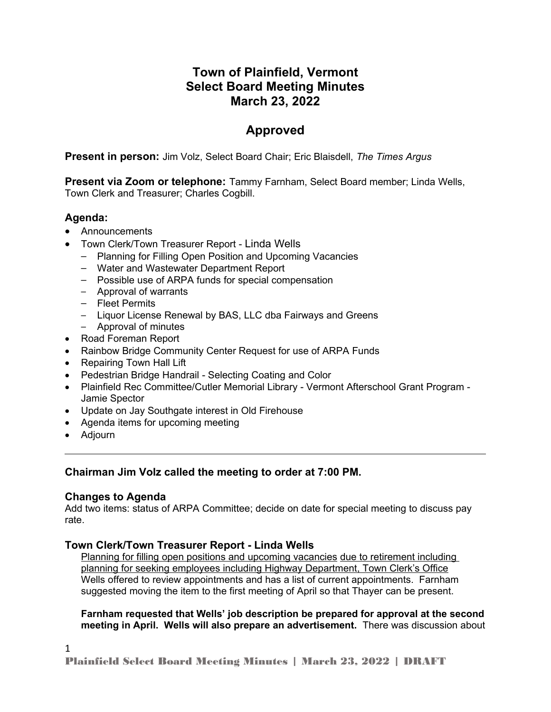# **Town of Plainfield, Vermont Select Board Meeting Minutes March 23, 2022**

# **Approved**

**Present in person:** Jim Volz, Select Board Chair; Eric Blaisdell, *The Times Argus*

**Present via Zoom or telephone:** Tammy Farnham, Select Board member; Linda Wells, Town Clerk and Treasurer; Charles Cogbill.

## **Agenda:**

- Announcements
- Town Clerk/Town Treasurer Report Linda Wells
	- Planning for Filling Open Position and Upcoming Vacancies
	- Water and Wastewater Department Report
	- Possible use of ARPA funds for special compensation
	- Approval of warrants
	- Fleet Permits
	- Liquor License Renewal by BAS, LLC dba Fairways and Greens
	- Approval of minutes
- Road Foreman Report
- Rainbow Bridge Community Center Request for use of ARPA Funds
- Repairing Town Hall Lift
- Pedestrian Bridge Handrail Selecting Coating and Color
- Plainfield Rec Committee/Cutler Memorial Library Vermont Afterschool Grant Program Jamie Spector
- Update on Jay Southgate interest in Old Firehouse
- Agenda items for upcoming meeting
- Adjourn

## **Chairman Jim Volz called the meeting to order at 7:00 PM.**

## **Changes to Agenda**

Add two items: status of ARPA Committee; decide on date for special meeting to discuss pay rate.

## **Town Clerk/Town Treasurer Report - Linda Wells**

Planning for filling open positions and upcoming vacancies due to retirement including planning for seeking employees including Highway Department, Town Clerk's Office Wells offered to review appointments and has a list of current appointments. Farnham suggested moving the item to the first meeting of April so that Thayer can be present.

#### **Farnham requested that Wells' job description be prepared for approval at the second meeting in April. Wells will also prepare an advertisement.** There was discussion about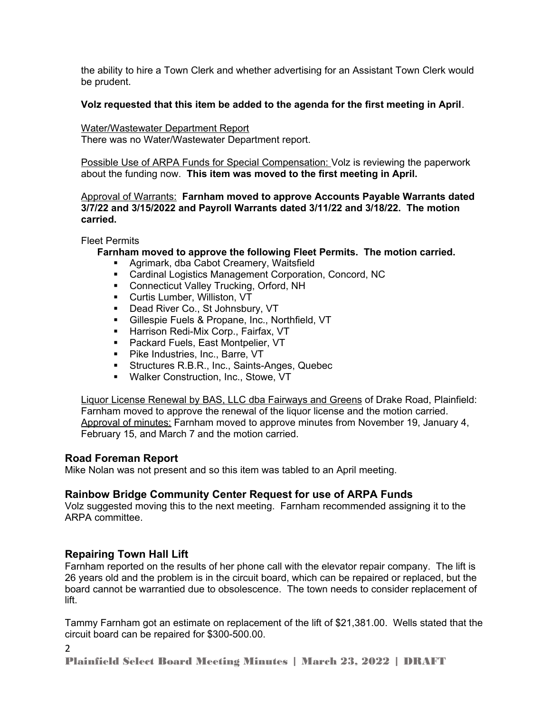the ability to hire a Town Clerk and whether advertising for an Assistant Town Clerk would be prudent.

#### **Volz requested that this item be added to the agenda for the first meeting in April**.

Water/Wastewater Department Report There was no Water/Wastewater Department report.

Possible Use of ARPA Funds for Special Compensation: Volz is reviewing the paperwork about the funding now. **This item was moved to the first meeting in April.**

Approval of Warrants: **Farnham moved to approve Accounts Payable Warrants dated 3/7/22 and 3/15/2022 and Payroll Warrants dated 3/11/22 and 3/18/22. The motion carried.** 

Fleet Permits

**Farnham moved to approve the following Fleet Permits. The motion carried.**

- Agrimark, dba Cabot Creamery, Waitsfield
- Cardinal Logistics Management Corporation, Concord, NC
- **Connecticut Valley Trucking, Orford, NH**
- Curtis Lumber, Williston, VT
- **Dead River Co., St Johnsbury, VT**
- **Gillespie Fuels & Propane, Inc., Northfield, VT**
- **Harrison Redi-Mix Corp., Fairfax, VT**
- **Packard Fuels, East Montpelier, VT**
- **Pike Industries, Inc., Barre, VT**
- **Structures R.B.R., Inc., Saints-Anges, Quebec**
- **Walker Construction, Inc., Stowe, VT**

Liquor License Renewal by BAS, LLC dba Fairways and Greens of Drake Road, Plainfield: Farnham moved to approve the renewal of the liquor license and the motion carried. Approval of minutes: Farnham moved to approve minutes from November 19, January 4, February 15, and March 7 and the motion carried.

## **Road Foreman Report**

Mike Nolan was not present and so this item was tabled to an April meeting.

## **Rainbow Bridge Community Center Request for use of ARPA Funds**

Volz suggested moving this to the next meeting. Farnham recommended assigning it to the ARPA committee.

## **Repairing Town Hall Lift**

Farnham reported on the results of her phone call with the elevator repair company. The lift is 26 years old and the problem is in the circuit board, which can be repaired or replaced, but the board cannot be warrantied due to obsolescence. The town needs to consider replacement of lift.

Tammy Farnham got an estimate on replacement of the lift of \$21,381.00. Wells stated that the circuit board can be repaired for \$300-500.00.

2

Plainfield Select Board Meeting Minutes | March 23, 2022 | DRAFT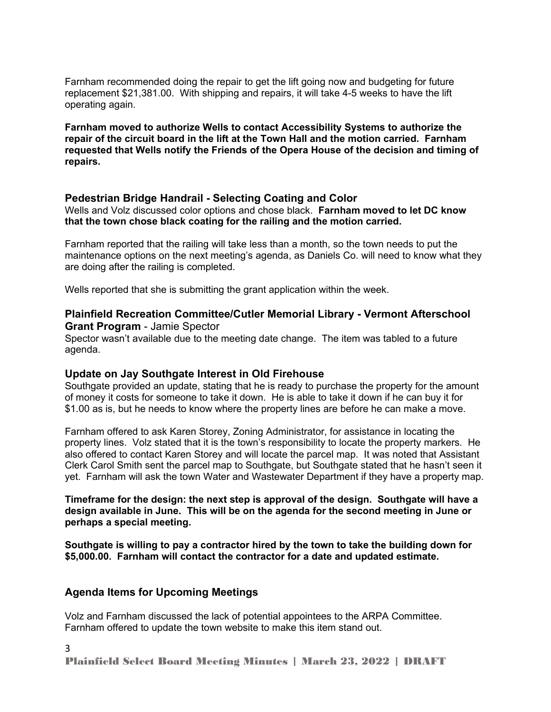Farnham recommended doing the repair to get the lift going now and budgeting for future replacement \$21,381.00. With shipping and repairs, it will take 4-5 weeks to have the lift operating again.

**Farnham moved to authorize Wells to contact Accessibility Systems to authorize the repair of the circuit board in the lift at the Town Hall and the motion carried. Farnham requested that Wells notify the Friends of the Opera House of the decision and timing of repairs.** 

#### **Pedestrian Bridge Handrail - Selecting Coating and Color**

Wells and Volz discussed color options and chose black. **Farnham moved to let DC know that the town chose black coating for the railing and the motion carried.** 

Farnham reported that the railing will take less than a month, so the town needs to put the maintenance options on the next meeting's agenda, as Daniels Co. will need to know what they are doing after the railing is completed.

Wells reported that she is submitting the grant application within the week.

#### **Plainfield Recreation Committee/Cutler Memorial Library - Vermont Afterschool Grant Program** - Jamie Spector

Spector wasn't available due to the meeting date change. The item was tabled to a future agenda.

#### **Update on Jay Southgate Interest in Old Firehouse**

Southgate provided an update, stating that he is ready to purchase the property for the amount of money it costs for someone to take it down. He is able to take it down if he can buy it for \$1.00 as is, but he needs to know where the property lines are before he can make a move.

Farnham offered to ask Karen Storey, Zoning Administrator, for assistance in locating the property lines. Volz stated that it is the town's responsibility to locate the property markers. He also offered to contact Karen Storey and will locate the parcel map. It was noted that Assistant Clerk Carol Smith sent the parcel map to Southgate, but Southgate stated that he hasn't seen it yet. Farnham will ask the town Water and Wastewater Department if they have a property map.

**Timeframe for the design: the next step is approval of the design. Southgate will have a design available in June. This will be on the agenda for the second meeting in June or perhaps a special meeting.** 

**Southgate is willing to pay a contractor hired by the town to take the building down for \$5,000.00. Farnham will contact the contractor for a date and updated estimate.**

#### **Agenda Items for Upcoming Meetings**

Volz and Farnham discussed the lack of potential appointees to the ARPA Committee. Farnham offered to update the town website to make this item stand out.

Plainfield Select Board Meeting Minutes | March 23, 2022 | DRAFT